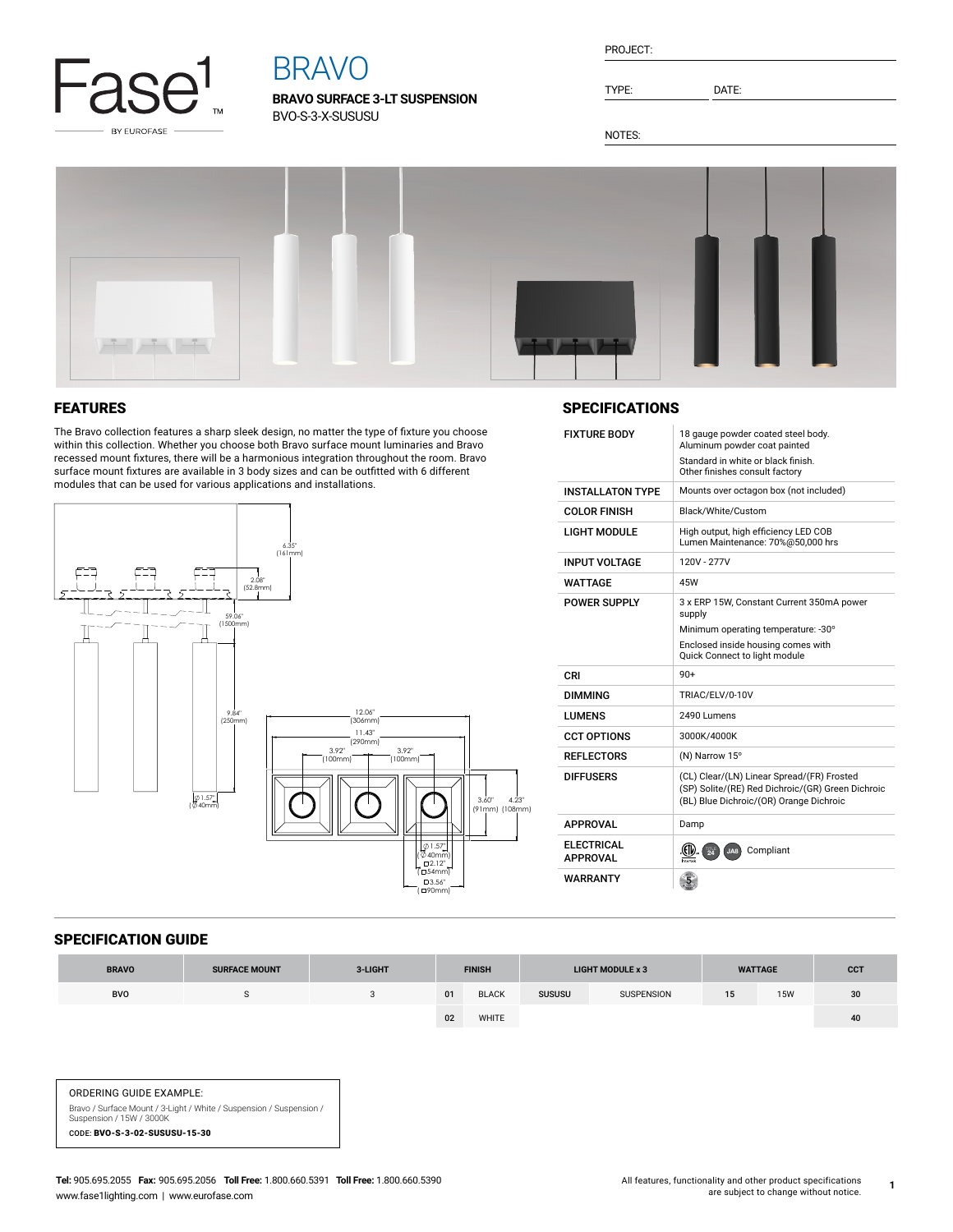

# BRAVO

**BRAVO SURFACE 3-LT SUSPENSION** BVO-S-3-X-SUSUSU

| PROJECT: |  |
|----------|--|
|          |  |

TYPE: DATE:

NOTES:



# FEATURES

The Bravo collection features a sharp sleek design, no matter the type of fixture you choose within this collection. Whether you choose both Bravo surface mount luminaries and Bravo recessed mount fixtures, there will be a harmonious integration throughout the room. Bravo surface mount fixtures are available in 3 body sizes and can be outfitted with 6 different modules that can be used for various applications and installations.



# **SPECIFICATIONS**

| <b>FIXTURE BODY</b>            | 18 gauge powder coated steel body.<br>Aluminum powder coat painted<br>Standard in white or black finish.                                   |  |  |  |  |  |
|--------------------------------|--------------------------------------------------------------------------------------------------------------------------------------------|--|--|--|--|--|
|                                | Other finishes consult factory                                                                                                             |  |  |  |  |  |
| <b>INSTALL ATON TYPE</b>       | Mounts over octagon box (not included)                                                                                                     |  |  |  |  |  |
| <b>COLOR FINISH</b>            | Black/White/Custom                                                                                                                         |  |  |  |  |  |
| I IGHT MODULE                  | High output, high efficiency LED COB<br>Lumen Maintenance: 70%@50.000 hrs                                                                  |  |  |  |  |  |
| <b>INPUT VOLTAGE</b>           | 120V - 277V                                                                                                                                |  |  |  |  |  |
| <b>WATTAGE</b>                 | 45W                                                                                                                                        |  |  |  |  |  |
| <b>POWER SUPPLY</b>            | 3 x ERP 15W, Constant Current 350mA power<br>supply<br>Minimum operating temperature: -30°                                                 |  |  |  |  |  |
|                                | Enclosed inside housing comes with<br>Quick Connect to light module                                                                        |  |  |  |  |  |
|                                |                                                                                                                                            |  |  |  |  |  |
| CRI                            | $90+$                                                                                                                                      |  |  |  |  |  |
| <b>DIMMING</b>                 | TRIAC/ELV/0-10V                                                                                                                            |  |  |  |  |  |
| <b>I UMFNS</b>                 | 2490 Lumens                                                                                                                                |  |  |  |  |  |
| <b>CCT OPTIONS</b>             | 3000K/4000K                                                                                                                                |  |  |  |  |  |
| <b>REFLECTORS</b>              | (N) Narrow 15°                                                                                                                             |  |  |  |  |  |
| <b>DIFFUSERS</b>               | (CL) Clear/(LN) Linear Spread/(FR) Frosted<br>(SP) Solite/(RE) Red Dichroic/(GR) Green Dichroic<br>(BL) Blue Dichroic/(OR) Orange Dichroic |  |  |  |  |  |
| <b>APPROVAL</b>                | Damp                                                                                                                                       |  |  |  |  |  |
| FI FCTRICAL<br><b>APPROVAL</b> | (EIL)<br>Compliant<br>$\overline{24}$<br>JA8                                                                                               |  |  |  |  |  |

### SPECIFICATION GUIDE

| <b>BRAVO</b> | <b>SURFACE MOUNT</b> | 3-LIGHT | <b>FINISH</b> |              |               |            |    | <b>LIGHT MODULE x 3</b> |    | <b>WATTAGE</b> | <b>CCT</b> |
|--------------|----------------------|---------|---------------|--------------|---------------|------------|----|-------------------------|----|----------------|------------|
| BVO          | $\cdot$              |         | 01            | <b>BLACK</b> | <b>SUSUSU</b> | SUSPENSION | 15 | 15W                     | 30 |                |            |
|              |                      |         | 02            | WHITE        |               |            |    |                         | 40 |                |            |

#### ORDERING GUIDE EXAMPLE:

Bravo / Surface Mount / 3-Light / White / Suspension / Suspension / Suspension / 15W / 3000K CODE: BVO-S-3-02-SUSUSU-15-30

**1**